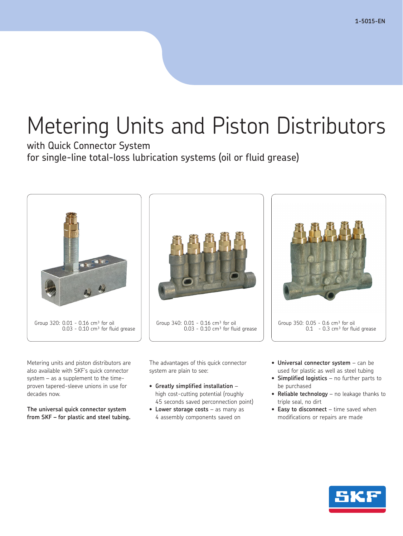# Metering Units and Piston Distributors

with Quick Connector System for single-line total-loss lubrication systems (oil or fluid grease)



Metering units and piston distributors are also available with SKF's quick connector system – as a supplement to the timeproven tapered-sleeve unions in use for decades now.

**The universal quick connector system from SKF – for plastic and steel tubing.**



Group 340: 0.01 - 0.16 cm<sup>3</sup> for oil  $0.03 - 0.10$  cm<sup>3</sup> for fluid grease

The advantages of this quick connector system are plain to see:

- **Greatly simplified installation** high cost-cutting potential (roughly 45 seconds saved perconnection point)
- **Lower storage costs** as many as 4 assembly components saved on
- **Universal connector system** can be used for plastic as well as steel tubing

Group 350:  $0.05 - 0.6$  cm<sup>3</sup> for oil

• **Simplified logistics** – no further parts to be purchased

 $0.1 - 0.3$  cm<sup>3</sup> for fluid grease

- **Reliable technology** no leakage thanks to triple seal, no dirt
- **Easy to disconnect** time saved when modifications or repairs are made

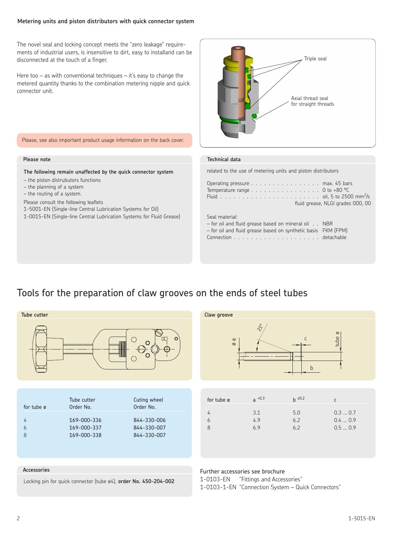#### **Metering units and piston distributors with quick connector system**

The novel seal and locking concept meets the "zero leakage" requirements of industrial users, is insensitive to dirt, easy to installand can be disconnected at the touch of a finger.

Here too  $-$  as with conventional techniques  $-$  it's easy to change the metered quantity thanks to the combination metering nipple and quick connector unit.



Please, see also important product usage information on the back cover.

#### **Please note**

**The following remain unaffected by the quick connector system**

- the piston distrubutors functions
- the planning of a system
- the routing of a system.

Please consult the following leaflets

1-5001-EN (Single-line Central Lubrication Systems for Oil) 1-0015-EN (Single-line Central Lubrication Systems for Fluid Grease)

#### **Technical data**

related to the use of metering units and piston distributors

|  | Operating pressure max. 45 bars                                           |
|--|---------------------------------------------------------------------------|
|  | Temperature range $\ldots \ldots \ldots \ldots \ldots \ldots$ 0 to +80 °C |
|  |                                                                           |
|  | fluid grease, NLGI grades 000, 00                                         |

#### Seal material:

| $-$ for oil and fluid grease based on mineral oil NBR         |  |
|---------------------------------------------------------------|--|
| - for oil and fluid grease based on synthetic basis FKM (FPM) |  |
|                                                               |  |

### Tools for the preparation of claw grooves on the ends of steel tubes

| Tube cutter                                                      |                                                                       |                                                                        | Claw groove                      |                                 |                                  |                                            |
|------------------------------------------------------------------|-----------------------------------------------------------------------|------------------------------------------------------------------------|----------------------------------|---------------------------------|----------------------------------|--------------------------------------------|
| $\circ$<br>( )<br>$\circ$<br>O<br>$\bigcirc$                     |                                                                       | $\, \varpi$<br>Ø                                                       | $\tilde{c}$                      | C<br>b                          | tube $\varnothing$               |                                            |
|                                                                  |                                                                       |                                                                        |                                  |                                 |                                  |                                            |
| for tube ø<br>4<br>6<br>8                                        | Tube cutter<br>Order No.<br>169-000-336<br>169-000-337<br>169-000-338 | Cuting wheel<br>Order No.<br>844-330-006<br>844-330-007<br>844-330-007 | for tube ø<br>4<br>6<br>8        | $a^{+0.3}$<br>3.1<br>4.9<br>6.9 | $h \pm 0.2$<br>5.0<br>6.2<br>6.2 | $\mathsf{C}$<br>0.30.7<br>0.40.9<br>0.50.9 |
|                                                                  |                                                                       |                                                                        |                                  |                                 |                                  |                                            |
| Accessories                                                      |                                                                       |                                                                        | Further accessories see brochure |                                 |                                  |                                            |
| Locking pin for quick connector (tube ø4), order No. 450-204-002 |                                                                       | 1-0103-EN<br>1-0103-1-EN "Connection System - Quick Connectors"        | "Fittings and Accessories"       |                                 |                                  |                                            |

2 1-5015-EN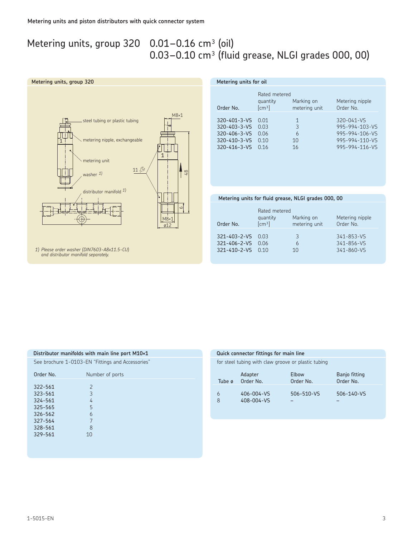## Metering units, group  $320$  0.01-0.16 cm<sup>3</sup> (oil)

## $0.03-0.10$  cm<sup>3</sup> (fluid grease, NLGI grades 000, 00)

 **Metering units for oil**



| Order No.                         | Rated metered<br>quantity<br>[cm <sup>3</sup> ] | Marking on<br>metering unit | Metering nipple<br>Order No. |
|-----------------------------------|-------------------------------------------------|-----------------------------|------------------------------|
| 320-401-3-VS 0.01<br>320-403-3-VS | 0.03                                            | 1<br>3                      | 320-041-VS<br>995-994-103-VS |
| 320-406-3-VS                      | 0.06                                            | h                           | 995-994-106-VS               |

320-410-3-VS 0.10 10 995-994-110-VS 320-416-3-VS 0.16 16 995-994-116-VS

#### **Metering units for fluid grease, NLGI grades 000, 00**

| Order No.                                                           | Rated metered<br>quantity<br>[cm <sup>3</sup> ] | Marking on<br>metering unit | Metering nipple<br>Order No.                       |
|---------------------------------------------------------------------|-------------------------------------------------|-----------------------------|----------------------------------------------------|
| $321 - 403 - 2 - VS$ 0.03<br>321-406-2-VS 0.06<br>321-410-2-VS 0.10 |                                                 | 3<br>10                     | $341 - 853 - VS$<br>$341 - 856 - VS$<br>341-860-VS |

*1) Please order washer (DIN7603-A8x11.5-CU) and distributor manifold separately.*

#### **Distributor manifolds with main line port M10×1**

See brochure 1-0103-EN "Fittings and Accessories"

| Order No. | Number of ports |
|-----------|-----------------|
|           |                 |
| 322-561   | $\overline{2}$  |
| 323-561   | 3               |
| 324-561   | 4               |
| 325-565   | 5               |
| 326-562   | 6               |
| 327-564   | 7               |
| 328-561   | 8               |
| 329-561   | 10              |
|           |                 |

#### **Quick connector fittings for main line**

for steel tubing with claw groove or plastic tubing

| Tube ø | Adapter                  | Elbow      | Banjo fitting |
|--------|--------------------------|------------|---------------|
|        | Order No.                | Order No.  | Order No.     |
| 6<br>8 | 406-004-VS<br>408-004-VS | 506-510-VS | 506-140-VS    |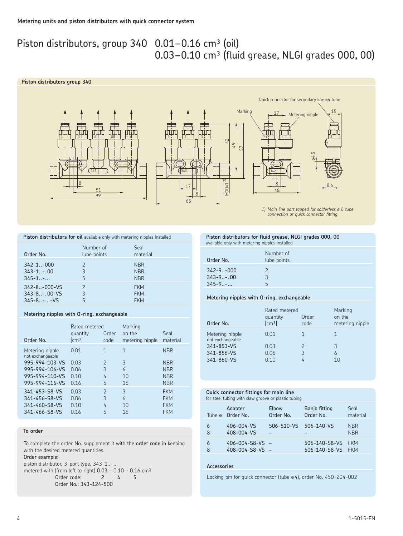### Piston distributors, group  $340$  0.01–0.16 cm<sup>3</sup> (oil)  $0.03-0.10$  cm<sup>3</sup> (fluid grease, NLGI grades 000, 00)

#### **Piston distributors group 340**







*1) Main line port tapped for solderless ø 6 tube connection or quick connector fitting*

| Piston distributors for oil available only with metering nipples installed |             |          |  |  |
|----------------------------------------------------------------------------|-------------|----------|--|--|
|                                                                            | Number of   | Seal     |  |  |
| Order No.                                                                  | lube points | material |  |  |

|                       | $\sim$ | .          |  |
|-----------------------|--------|------------|--|
|                       |        |            |  |
| $342 - 1 - 000$       |        | <b>NBR</b> |  |
| $343 - 1 - .00$       | 3      | <b>NBR</b> |  |
| $345 - 1$             | 5      | <b>NBR</b> |  |
| $342 - 8. - 000 - VS$ |        | <b>FKM</b> |  |
| $343 - 8 - .00 - VS$  | २      | <b>FKM</b> |  |
| $345 - 8 - W5$        | 5      | <b>FKM</b> |  |
|                       |        |            |  |

#### **Metering nipples with O-ring. exchangeable**

| Order No.                           | Rated metered<br>quantity<br>$\lceil \mathsf{cm}^3 \rceil$ | Order<br>code            | Marking<br>on the<br>metering nipple | Seal<br>material |
|-------------------------------------|------------------------------------------------------------|--------------------------|--------------------------------------|------------------|
| Metering nipple<br>not exchangeable | 0.01                                                       | 1                        | 1                                    | <b>NBR</b>       |
| 995-994-103-VS                      | 0.03                                                       | $\overline{\phantom{0}}$ | 3                                    | <b>NBR</b>       |
| 995-994-106-VS                      | 0.06                                                       | 3                        | 6                                    | <b>NBR</b>       |
| 995-994-110-VS                      | 0.10                                                       | 4                        | 10                                   | <b>NBR</b>       |
| 995-994-116-VS                      | 0.16                                                       | 5                        | 16                                   | <b>NBR</b>       |
| 341-453-S8-VS                       | 0.03                                                       | $\mathcal{P}$            | 3                                    | <b>FKM</b>       |
| 341-456-S8-VS                       | 0.06                                                       | 3                        | 6                                    | <b>FKM</b>       |
| 341-460-S8-VS                       | 0.10                                                       | 4                        | 10                                   | <b>FKM</b>       |
| 341-466-S8-VS                       | 0.16                                                       | 5                        | 16                                   | <b>FKM</b>       |

#### **To order**

To complete the order No. supplement it with the order code in keeping with the desired metered quantities.

#### Order example:

piston distributor, 3-port type, 343-1..-...

metered with (from left to right)  $0.03 - 0.10 - 0.16$  cm<sup>3</sup> Order code: 2 4 5 Order No.: 343-124-500

#### **Piston distributors for fluid grease, NLGI grades 000, 00** available only with metering nipples installed

| Order No.      | Number of<br>lube points |
|----------------|--------------------------|
| $342 - 9 -000$ | $\mathcal{P}$            |
| $343 - 9 - 00$ | 3                        |
| $345 - 9$      | 5                        |

#### **Metering nipples with O-ring, exchangeable**

| Order No.                              | Rated metered<br>quantity<br>[cm <sup>3</sup> ] | Order<br>code | Marking<br>on the<br>metering nipple |
|----------------------------------------|-------------------------------------------------|---------------|--------------------------------------|
| Metering nipple<br>not exchangeable    | 0.01                                            |               | 1                                    |
| 341-853-VS<br>341-856-VS<br>341-860-VS | 0.03<br>0.06<br>0.10                            | 2<br>3        | 3<br>6<br>10                         |

#### **Quick connector fittings for main line**

for steel tubing with claw groove or plastic tubing

| Tube ø | Adapter                  | Elbow      | Banjo fitting | Seal                     |
|--------|--------------------------|------------|---------------|--------------------------|
|        | Order No.                | Order No.  | Order No.     | material                 |
| 6<br>8 | 406-004-VS<br>408-004-VS | 506-510-VS | 506-140-VS    | <b>NBR</b><br><b>NBR</b> |
| 6      | $406 - 004 - 58 - VS$ -  |            | 506-140-S8-VS | <b>FKM</b>               |
| 8      | $408 - 004 - 58 - VS$ -  |            | 506-140-S8-VS | <b>FKM</b>               |

#### **Accessories**

Locking pin for quick connector (tube ø4), order No. 450-204-002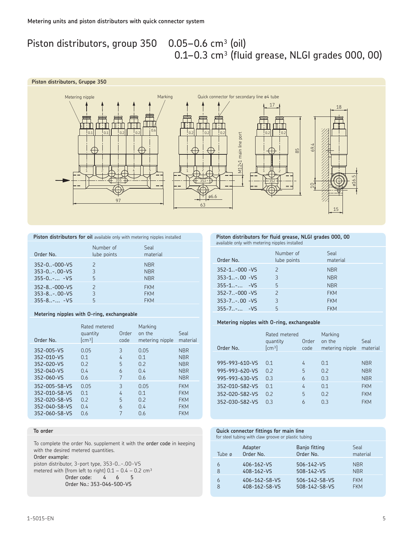## Piston distributors, group 350 0.05-0.6 cm<sup>3</sup> (oil)

## $0.1-0.3$  cm<sup>3</sup> (fluid grease, NLGI grades 000, 00)

#### **Piston distributors, Gruppe 350**





#### **Piston distributors for oil** available only with metering nipples installed

| Order No.             | Number of<br>lube points | Seal<br>material |
|-----------------------|--------------------------|------------------|
| $352 - 0. -000 - VS$  | $\mathcal{P}$            | NBR.             |
| $353 - 0. - 0.0 - VS$ | 3                        | <b>NBR</b>       |
| $355 - 0 - VS$        | 5                        | <b>NBR</b>       |
| $352 - 8. - 000 - VS$ | $\mathcal{P}$            | <b>FKM</b>       |
| $353 - 8 - .00 - VS$  | 3                        | <b>FKM</b>       |
| $355 - 8 - VS$        | 5                        | <b>FKM</b>       |

#### **Metering nipples with O-ring, exchangeable**

| Order No.                                                                         | Rated metered<br>quantity<br>$\lceil$ cm <sup>3</sup> $\rceil$ | Order<br>code    | Marking<br>on the<br>metering nipple | Seal<br>material                                                   |
|-----------------------------------------------------------------------------------|----------------------------------------------------------------|------------------|--------------------------------------|--------------------------------------------------------------------|
| 352-005-VS<br>352-010-VS<br>352-020-VS<br>352-040-VS<br>352-060-VS                | 0.05<br>0.1<br>0.2<br>0.4<br>0.6                               | 3<br>4<br>5<br>6 | 0.05<br>0.1<br>0.2<br>0.4<br>0.6     | <b>NBR</b><br><b>NBR</b><br><b>NBR</b><br><b>NBR</b><br><b>NBR</b> |
| 352-005-S8-VS<br>352-010-S8-VS<br>352-020-S8-VS<br>352-040-S8-VS<br>352-060-S8-VS | 0.05<br>0.1<br>0.2<br>0.4<br>0.6                               | 3<br>4<br>5<br>6 | 0.05<br>0.1<br>0.2<br>0.4<br>0.6     | <b>FKM</b><br><b>FKM</b><br><b>FKM</b><br><b>FKM</b><br><b>FKM</b> |

#### **To order**

To complete the order No. supplement it with the order code in keeping with the desired metered quantities.

#### Order example:

piston distributor, 3-port type, 353-0..-.00-VS metered with (from left to right)  $0.1 - 0.4 - 0.2$  cm<sup>3</sup> Order code: 4 6 5 Order No.: 353-046-500-VS

#### **Piston distributors for fluid grease, NLGI grades 000, 00** available only with metering nipples installed

| Order No.             | Number of<br>lube points | Seal<br>material |
|-----------------------|--------------------------|------------------|
| $352 - 1. - 000 - VS$ | $\mathcal{P}$            | <b>NBR</b>       |
| $353 - 1$ , 00 - VS   | 3                        | <b>NBR</b>       |
| $355 - 1 - W$         | 5                        | <b>NBR</b>       |
| $352 - 7 - 000 - VS$  | $\mathcal{P}$            | <b>FKM</b>       |
| $353 - 7 - .00 - VS$  | 3                        | <b>FKM</b>       |
| $355 - 7 - VS$        | 5                        | <b>FKM</b>       |

ø16.5

#### **Metering nipples with O-ring, exchangeable**

| Order No.      | Rated metered<br>quantity<br>$\lceil$ cm <sup>3</sup> $\rceil$ | Order<br>code | Marking<br>on the<br>metering nipple | Seal<br>material |
|----------------|----------------------------------------------------------------|---------------|--------------------------------------|------------------|
|                |                                                                |               |                                      |                  |
| 995-993-610-VS | 0.1                                                            | 4             | 0.1                                  | <b>NBR</b>       |
| 995-993-620-VS | 0.2                                                            | 5             | 0.2                                  | <b>NBR</b>       |
| 995-993-630-VS | 0.3                                                            | 6             | 0.3                                  | <b>NBR</b>       |
| 352-010-S82-VS | 0.1                                                            | 4             | 0.1                                  | <b>FKM</b>       |
| 352-020-S82-VS | 0.2                                                            | 5             | 0.2                                  | <b>FKM</b>       |
| 352-030-S82-VS | 0.3                                                            | 6             | 0.3                                  | <b>FKM</b>       |
|                |                                                                |               |                                      |                  |

#### **Quick connector fittings for main line**

for steel tubing with claw groove or plastic tubing

| Tube ø | Adapter       | Banjo fitting | Seal       |
|--------|---------------|---------------|------------|
|        | Order No.     | Order No.     | material   |
| 6      | 406-162-VS    | 506-142-VS    | <b>NBR</b> |
| 8      | 408-162-VS    | 508-142-VS    | <b>NBR</b> |
| 6      | 406-162-S8-VS | 506-142-S8-VS | <b>FKM</b> |
| 8      | 408-162-S8-VS | 508-142-S8-VS | <b>FKM</b> |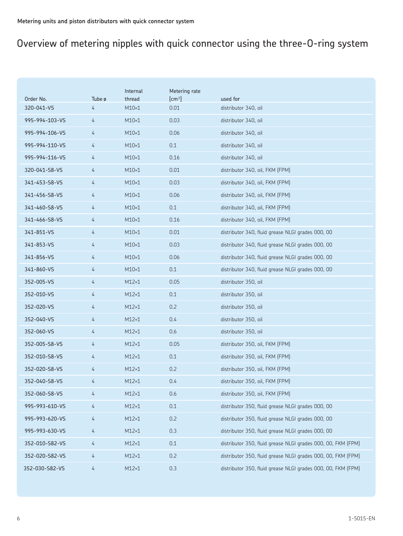## Overview of metering nipples with quick connector using the three-O-ring system

|                |        | Internal     | Metering rate      |                                                              |
|----------------|--------|--------------|--------------------|--------------------------------------------------------------|
| Order No.      | Tube ø | thread       | [cm <sup>3</sup> ] | used for                                                     |
| 320-041-VS     | 4      | $M10\times1$ | 0.01               | distributor 340, oil                                         |
| 995-994-103-VS | 4      | $M10\times1$ | 0.03               | distributor 340, oil                                         |
| 995-994-106-VS | 4      | $M10\times1$ | 0.06               | distributor 340, oil                                         |
| 995-994-110-VS | 4      | $M10\times1$ | 0.1                | distributor 340, oil                                         |
| 995-994-116-VS | 4      | $M10\times1$ | 0.16               | distributor 340, oil                                         |
| 320-041-S8-VS  | 4      | $M10\times1$ | 0.01               | distributor 340, oil, FKM (FPM)                              |
| 341-453-S8-VS  | 4      | $M10\times1$ | 0.03               | distributor 340, oil, FKM (FPM)                              |
| 341-456-S8-VS  | 4      | $M10\times1$ | 0.06               | distributor 340, oil, FKM (FPM)                              |
| 341-460-S8-VS  | 4      | $M10\times1$ | 0.1                | distributor 340, oil, FKM (FPM)                              |
| 341-466-S8-VS  | 4      | $M10\times1$ | 0.16               | distributor 340, oil, FKM (FPM)                              |
| 341-851-VS     | 4      | $M10\times1$ | 0.01               | distributor 340, fluid grease NLGI grades 000, 00            |
| 341-853-VS     | 4      | $M10\times1$ | 0.03               | distributor 340, fluid grease NLGI grades 000, 00            |
| 341-856-VS     | 4      | $M10\times1$ | 0.06               | distributor 340, fluid grease NLGI grades 000, 00            |
| 341-860-VS     | 4      | $M10\times1$ | 0.1                | distributor 340, fluid grease NLGI grades 000, 00            |
| 352-005-VS     | 4      | $M12\times1$ | 0.05               | distributor 350, oil                                         |
| 352-010-VS     | 4      | $M12\times1$ | 0.1                | distributor 350, oil                                         |
| 352-020-VS     | 4      | $M12\times1$ | 0.2                | distributor 350, oil                                         |
| 352-040-VS     | 4      | $M12\times1$ | 0.4                | distributor 350, oil                                         |
| 352-060-VS     | 4      | $M12\times1$ | 0.6                | distributor 350, oil                                         |
| 352-005-S8-VS  | 4      | $M12\times1$ | 0.05               | distributor 350, oil, FKM (FPM)                              |
| 352-010-S8-VS  | 4      | $M12\times1$ | 0.1                | distributor 350, oil, FKM (FPM)                              |
| 352-020-S8-VS  | 4      | $M12\times1$ | 0.2                | distributor 350, oil, FKM (FPM)                              |
| 352-040-S8-VS  | 4      | $M12\times1$ | 0.4                | distributor 350, oil, FKM (FPM)                              |
| 352-060-S8-VS  | 4      | $M12\times1$ | 0.6                | distributor 350, oil, FKM (FPM)                              |
| 995-993-610-VS | 4      | $M12\times1$ | 0.1                | distributor 350, fluid grease NLGI grades 000, 00            |
| 995-993-620-VS | 4      | $M12\times1$ | 0.2                | distributor 350, fluid grease NLGI grades 000, 00            |
| 995-993-630-VS | 4      | $M12\times1$ | 0.3                | distributor 350, fluid grease NLGI grades 000, 00            |
| 352-010-S82-VS | 4      | $M12\times1$ | 0.1                | distributor 350, fluid grease NLGI grades 000, 00, FKM (FPM) |
| 352-020-S82-VS | 4      | $M12\times1$ | 0.2                | distributor 350, fluid grease NLGI grades 000, 00, FKM (FPM) |
| 352-030-S82-VS | 4      | $M12\times1$ | 0.3                | distributor 350, fluid grease NLGI grades 000, 00, FKM (FPM) |